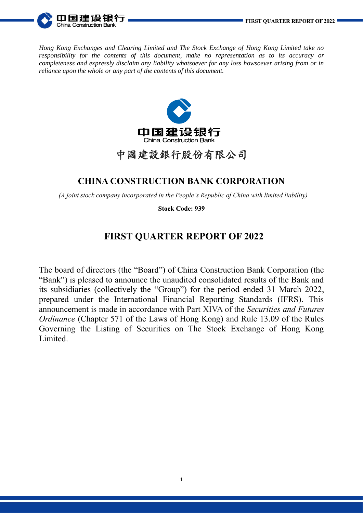

*Hong Kong Exchanges and Clearing Limited and The Stock Exchange of Hong Kong Limited take no responsibility for the contents of this document, make no representation as to its accuracy or completeness and expressly disclaim any liability whatsoever for any loss howsoever arising from or in reliance upon the whole or any part of the contents of this document.*



# 中國建設銀行股份有限公司

## **CHINA CONSTRUCTION BANK CORPORATION**

*(A joint stock company incorporated in the People's Republic of China with limited liability)*

**Stock Code: 939**

# **FIRST QUARTER REPORT OF 2022**

The board of directors (the "Board") of China Construction Bank Corporation (the "Bank") is pleased to announce the unaudited consolidated results of the Bank and its subsidiaries (collectively the "Group") for the period ended 31 March 2022, prepared under the International Financial Reporting Standards (IFRS). This announcement is made in accordance with Part XIVA of the *Securities and Futures Ordinance* (Chapter 571 of the Laws of Hong Kong) and Rule 13.09 of the Rules Governing the Listing of Securities on The Stock Exchange of Hong Kong Limited.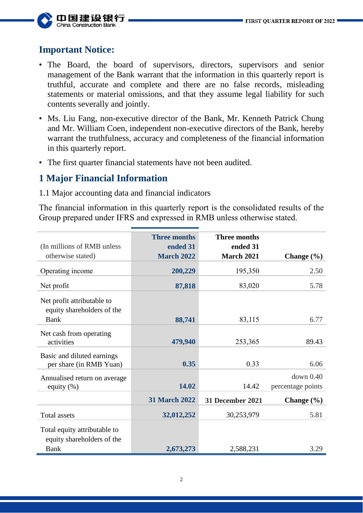

# **Important Notice:**

- The Board, the board of supervisors, directors, supervisors and senior management of the Bank warrant that the information in this quarterly report is truthful, accurate and complete and there are no false records, misleading statements or material omissions, and that they assume legal liability for such contents severally and jointly.
- Ms. Liu Fang, non-executive director of the Bank, Mr. Kenneth Patrick Chung and Mr. William Coen, independent non-executive directors of the Bank, hereby warrant the truthfulness, accuracy and completeness of the financial information in this quarterly report.
- The first quarter financial statements have not been audited.

# **1 Major Financial Information**

1.1 Major accounting data and financial indicators

The financial information in this quarterly report is the consolidated results of the Group prepared under IFRS and expressed in RMB unless otherwise stated.

| <b>Three months</b><br>ended 31 | <b>Three months</b><br>ended 31 |                                |
|---------------------------------|---------------------------------|--------------------------------|
| <b>March 2022</b>               | <b>March 2021</b>               | Change $(\% )$                 |
| 200,229                         | 195,350                         | 2.50                           |
| 87,818                          | 83,020                          | 5.78                           |
|                                 |                                 |                                |
| 88,741                          | 83,115                          | 6.77                           |
| 479,940                         | 253,365                         | 89.43                          |
| 0.35                            | 0.33                            | 6.06                           |
| 14.02                           | 14.42                           | down 0.40<br>percentage points |
| <b>31 March 2022</b>            | <b>31 December 2021</b>         | Change $(\% )$                 |
| 32,012,252                      | 30,253,979                      | 5.81                           |
|                                 |                                 | 3.29                           |
|                                 | 2,673,273                       | 2,588,231                      |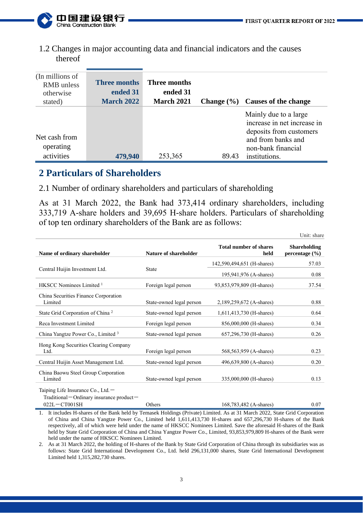

1.2 Changes in major accounting data and financial indicators and the causes thereof

| (In millions of<br><b>RMB</b> unless<br>otherwise<br>stated) | <b>Three months</b><br>ended 31<br><b>March 2022</b> | Three months<br>ended 31<br><b>March 2021</b> | Change $(\% )$ | Causes of the change                                                                                                                         |
|--------------------------------------------------------------|------------------------------------------------------|-----------------------------------------------|----------------|----------------------------------------------------------------------------------------------------------------------------------------------|
| Net cash from<br>operating<br>activities                     | 479,940                                              | 253,365                                       | 89.43          | Mainly due to a large<br>increase in net increase in<br>deposits from customers<br>and from banks and<br>non-bank financial<br>institutions. |

## **2 Particulars of Shareholders**

2.1 Number of ordinary shareholders and particulars of shareholding

As at 31 March 2022, the Bank had 373,414 ordinary shareholders, including 333,719 A-share holders and 39,695 H-share holders. Particulars of shareholding of top ten ordinary shareholders of the Bank are as follows:

|                                                                                                        |                          |                                       | Unit: share                           |
|--------------------------------------------------------------------------------------------------------|--------------------------|---------------------------------------|---------------------------------------|
| Name of ordinary shareholder                                                                           | Nature of shareholder    | <b>Total number of shares</b><br>held | <b>Shareholding</b><br>percentage (%) |
|                                                                                                        |                          | 142,590,494,651 (H-shares)            | 57.03                                 |
| Central Huijin Investment Ltd.                                                                         | <b>State</b>             | 195,941,976 (A-shares)                | 0.08                                  |
| HKSCC Nominees Limited <sup>1</sup>                                                                    | Foreign legal person     | 93,853,979,809 (H-shares)             | 37.54                                 |
| China Securities Finance Corporation<br>Limited                                                        | State-owned legal person | 2,189,259,672 (A-shares)              | 0.88                                  |
| State Grid Corporation of China <sup>2</sup>                                                           | State-owned legal person | 1,611,413,730 (H-shares)              | 0.64                                  |
| Reca Investment Limited                                                                                | Foreign legal person     | 856,000,000 (H-shares)                | 0.34                                  |
| China Yangtze Power Co., Limited 3                                                                     | State-owned legal person | 657,296,730 (H-shares)                | 0.26                                  |
| Hong Kong Securities Clearing Company<br>Ltd.                                                          | Foreign legal person     | 568,563,959 (A-shares)                | 0.23                                  |
| Central Huijin Asset Management Ltd.                                                                   | State-owned legal person | 496,639,800 (A-shares)                | 0.20                                  |
| China Baowu Steel Group Corporation<br>Limited                                                         | State-owned legal person | 335,000,000 (H-shares)                | 0.13                                  |
| Taiping Life Insurance Co., Ltd. $-$<br>Traditional – Ordinary insurance product –<br>$022L - CTO01SH$ | Others                   | 168,783,482 (A-shares)                | 0.07                                  |

1. It includes H-shares of the Bank held by Temasek Holdings (Private) Limited. As at 31 March 2022, State Grid Corporation of China and China Yangtze Power Co., Limited held 1,611,413,730 H-shares and 657,296,730 H-shares of the Bank respectively, all of which were held under the name of HKSCC Nominees Limited. Save the aforesaid H-shares of the Bank held by State Grid Corporation of China and China Yangtze Power Co., Limited, 93,853,979,809 H-shares of the Bank were held under the name of HKSCC Nominees Limited.

2. As at 31 March 2022, the holding of H-shares of the Bank by State Grid Corporation of China through its subsidiaries was as follows: State Grid International Development Co., Ltd. held 296,131,000 shares, State Grid International Development Limited held 1,315,282,730 shares.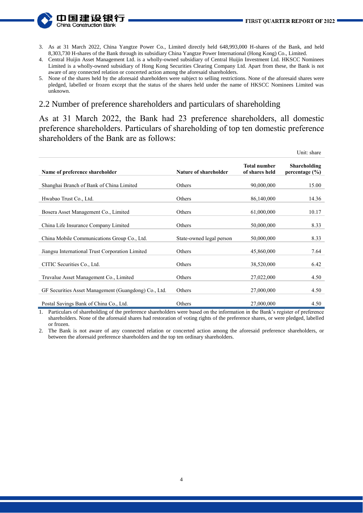- 山国建设 China Construction
- 3. As at 31 March 2022, China Yangtze Power Co., Limited directly held 648,993,000 H-shares of the Bank, and held 8,303,730 H-shares of the Bank through its subsidiary China Yangtze Power International (Hong Kong) Co., Limited.
- 4. Central Huijin Asset Management Ltd. is a wholly-owned subsidiary of Central Huijin Investment Ltd. HKSCC Nominees Limited is a wholly-owned subsidiary of Hong Kong Securities Clearing Company Ltd. Apart from these, the Bank is not aware of any connected relation or concerted action among the aforesaid shareholders.
- 5. None of the shares held by the aforesaid shareholders were subject to selling restrictions. None of the aforesaid shares were pledged, labelled or frozen except that the status of the shares held under the name of HKSCC Nominees Limited was unknown.

#### 2.2 Number of preference shareholders and particulars of shareholding

As at 31 March 2022, the Bank had 23 preference shareholders, all domestic preference shareholders. Particulars of shareholding of top ten domestic preference shareholders of the Bank are as follows:

|                                                      |                          |                                       | Unit: share                        |
|------------------------------------------------------|--------------------------|---------------------------------------|------------------------------------|
| Name of preference shareholder                       | Nature of shareholder    | <b>Total number</b><br>of shares held | Shareholding<br>percentage $(\% )$ |
| Shanghai Branch of Bank of China Limited             | Others                   | 90,000,000                            | 15.00                              |
| Hwabao Trust Co., Ltd.                               | Others                   | 86,140,000                            | 14.36                              |
| Bosera Asset Management Co., Limited                 | Others                   | 61,000,000                            | 10.17                              |
| China Life Insurance Company Limited                 | Others                   | 50,000,000                            | 8.33                               |
| China Mobile Communications Group Co., Ltd.          | State-owned legal person | 50,000,000                            | 8.33                               |
| Jiangsu International Trust Corporation Limited      | Others                   | 45,860,000                            | 7.64                               |
| CITIC Securities Co., Ltd.                           | Others                   | 38,520,000                            | 6.42                               |
| Truvalue Asset Management Co., Limited               | Others                   | 27,022,000                            | 4.50                               |
| GF Securities Asset Management (Guangdong) Co., Ltd. | Others                   | 27,000,000                            | 4.50                               |
| Postal Savings Bank of China Co., Ltd.               | Others                   | 27,000,000                            | 4.50                               |

1. Particulars of shareholding of the preference shareholders were based on the information in the Bank's register of preference shareholders. None of the aforesaid shares had restoration of voting rights of the preference shares, or were pledged, labelled or frozen.

2. The Bank is not aware of any connected relation or concerted action among the aforesaid preference shareholders, or between the aforesaid preference shareholders and the top ten ordinary shareholders.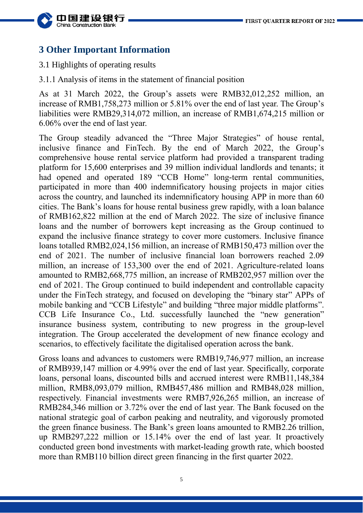

## **3 Other Important Information**

3.1 Highlights of operating results

3.1.1 Analysis of items in the statement of financial position

As at 31 March 2022, the Group's assets were RMB32,012,252 million, an increase of RMB1,758,273 million or 5.81% over the end of last year. The Group's liabilities were RMB29,314,072 million, an increase of RMB1,674,215 million or 6.06% over the end of last year.

The Group steadily advanced the "Three Major Strategies" of house rental, inclusive finance and FinTech. By the end of March 2022, the Group's comprehensive house rental service platform had provided a transparent trading platform for 15,600 enterprises and 39 million individual landlords and tenants; it had opened and operated 189 "CCB Home" long-term rental communities, participated in more than 400 indemnificatory housing projects in major cities across the country, and launched its indemnificatory housing APP in more than 60 cities. The Bank's loans for house rental business grew rapidly, with a loan balance of RMB162,822 million at the end of March 2022. The size of inclusive finance loans and the number of borrowers kept increasing as the Group continued to expand the inclusive finance strategy to cover more customers. Inclusive finance loans totalled RMB2,024,156 million, an increase of RMB150,473 million over the end of 2021. The number of inclusive financial loan borrowers reached 2.09 million, an increase of 153,300 over the end of 2021. Agriculture-related loans amounted to RMB2,668,775 million, an increase of RMB202,957 million over the end of 2021. The Group continued to build independent and controllable capacity under the FinTech strategy, and focused on developing the "binary star" APPs of mobile banking and "CCB Lifestyle" and building "three major middle platforms". CCB Life Insurance Co., Ltd. successfully launched the "new generation" insurance business system, contributing to new progress in the group-level integration. The Group accelerated the development of new finance ecology and scenarios, to effectively facilitate the digitalised operation across the bank.

Gross loans and advances to customers were RMB19,746,977 million, an increase of RMB939,147 million or 4.99% over the end of last year. Specifically, corporate loans, personal loans, discounted bills and accrued interest were RMB11,148,384 million, RMB8,093,079 million, RMB457,486 million and RMB48,028 million, respectively. Financial investments were RMB7,926,265 million, an increase of RMB284,346 million or 3.72% over the end of last year. The Bank focused on the national strategic goal of carbon peaking and neutrality, and vigorously promoted the green finance business. The Bank's green loans amounted to RMB2.26 trillion, up RMB297,222 million or 15.14% over the end of last year. It proactively conducted green bond investments with market-leading growth rate, which boosted more than RMB110 billion direct green financing in the first quarter 2022.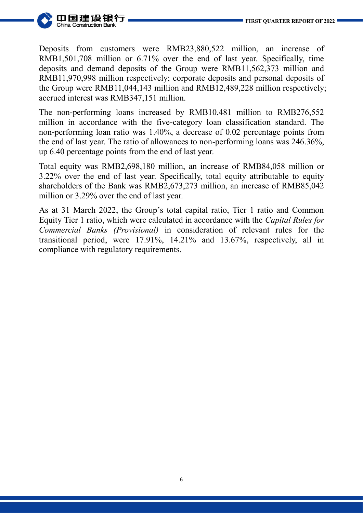

Deposits from customers were RMB23,880,522 million, an increase of RMB1,501,708 million or 6.71% over the end of last year. Specifically, time deposits and demand deposits of the Group were RMB11,562,373 million and RMB11,970,998 million respectively; corporate deposits and personal deposits of the Group were RMB11,044,143 million and RMB12,489,228 million respectively; accrued interest was RMB347,151 million.

The non-performing loans increased by RMB10,481 million to RMB276,552 million in accordance with the five-category loan classification standard. The non-performing loan ratio was 1.40%, a decrease of 0.02 percentage points from the end of last year. The ratio of allowances to non-performing loans was 246.36%, up 6.40 percentage points from the end of last year.

Total equity was RMB2,698,180 million, an increase of RMB84,058 million or 3.22% over the end of last year. Specifically, total equity attributable to equity shareholders of the Bank was RMB2,673,273 million, an increase of RMB85,042 million or 3.29% over the end of last year.

As at 31 March 2022, the Group's total capital ratio, Tier 1 ratio and Common Equity Tier 1 ratio, which were calculated in accordance with the *Capital Rules for Commercial Banks (Provisional)* in consideration of relevant rules for the transitional period, were 17.91%, 14.21% and 13.67%, respectively, all in compliance with regulatory requirements.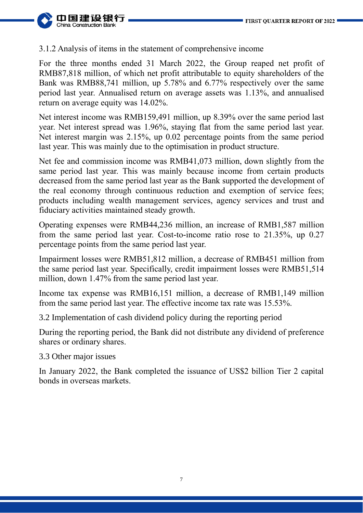

### 3.1.2 Analysis of items in the statement of comprehensive income

For the three months ended 31 March 2022, the Group reaped net profit of RMB87,818 million, of which net profit attributable to equity shareholders of the Bank was RMB88,741 million, up 5.78% and 6.77% respectively over the same period last year. Annualised return on average assets was 1.13%, and annualised return on average equity was 14.02%.

Net interest income was RMB159,491 million, up 8.39% over the same period last year. Net interest spread was 1.96%, staying flat from the same period last year. Net interest margin was 2.15%, up 0.02 percentage points from the same period last year. This was mainly due to the optimisation in product structure.

Net fee and commission income was RMB41,073 million, down slightly from the same period last year. This was mainly because income from certain products decreased from the same period last year as the Bank supported the development of the real economy through continuous reduction and exemption of service fees; products including wealth management services, agency services and trust and fiduciary activities maintained steady growth.

Operating expenses were RMB44,236 million, an increase of RMB1,587 million from the same period last year. Cost-to-income ratio rose to 21.35%, up 0.27 percentage points from the same period last year.

Impairment losses were RMB51,812 million, a decrease of RMB451 million from the same period last year. Specifically, credit impairment losses were RMB51,514 million, down 1.47% from the same period last year.

Income tax expense was RMB16,151 million, a decrease of RMB1,149 million from the same period last year. The effective income tax rate was 15.53%.

3.2 Implementation of cash dividend policy during the reporting period

During the reporting period, the Bank did not distribute any dividend of preference shares or ordinary shares.

3.3 Other major issues

In January 2022, the Bank completed the issuance of US\$2 billion Tier 2 capital bonds in overseas markets.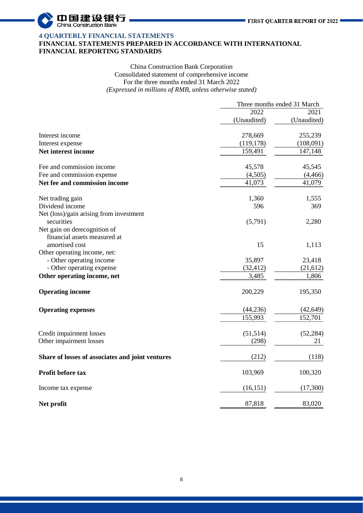

#### **4 QUARTERLY FINANCIAL STATEMENTS FINANCIAL STATEMENTS PREPARED IN ACCORDANCE WITH INTERNATIONAL FINANCIAL REPORTING STANDARDS**

#### China Construction Bank Corporation Consolidated statement of comprehensive income For the three months ended 31 March 2022 *(Expressed in millions of RMB, unless otherwise stated)*

|                                                  | Three months ended 31 March |             |
|--------------------------------------------------|-----------------------------|-------------|
|                                                  | 2022                        | 2021        |
|                                                  | (Unaudited)                 | (Unaudited) |
| Interest income                                  | 278,669                     | 255,239     |
| Interest expense                                 | (119, 178)                  | (108,091)   |
| Net interest income                              | 159,491                     | 147,148     |
| Fee and commission income                        | 45,578                      | 45,545      |
| Fee and commission expense                       | (4,505)                     | (4, 466)    |
| Net fee and commission income                    | 41,073                      | 41,079      |
| Net trading gain                                 | 1,360                       | 1,555       |
| Dividend income                                  | 596                         | 369         |
| Net (loss)/gain arising from investment          |                             |             |
| securities                                       | (5,791)                     | 2,280       |
| Net gain on derecognition of                     |                             |             |
| financial assets measured at                     |                             |             |
| amortised cost                                   | 15                          | 1,113       |
| Other operating income, net:                     |                             |             |
| - Other operating income                         | 35,897                      | 23,418      |
| - Other operating expense                        | (32, 412)                   | (21, 612)   |
| Other operating income, net                      | 3,485                       | 1,806       |
| <b>Operating income</b>                          | 200,229                     | 195,350     |
| <b>Operating expenses</b>                        | (44,236)                    | (42, 649)   |
|                                                  | 155,993                     | 152,701     |
| Credit impairment losses                         | (51, 514)                   | (52, 284)   |
| Other impairment losses                          | (298)                       | 21          |
| Share of losses of associates and joint ventures | (212)                       | (118)       |
| Profit before tax                                | 103,969                     | 100,320     |
| Income tax expense                               | (16, 151)                   | (17,300)    |
| Net profit                                       | 87,818                      | 83,020      |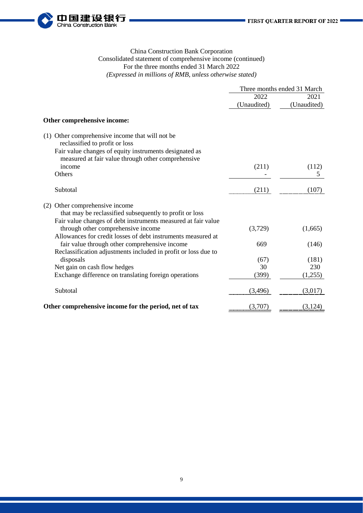

#### China Construction Bank Corporation Consolidated statement of comprehensive income (continued) For the three months ended 31 March 2022 *(Expressed in millions of RMB, unless otherwise stated)*

|                                                                                                              | Three months ended 31 March |             |
|--------------------------------------------------------------------------------------------------------------|-----------------------------|-------------|
|                                                                                                              | 2022                        | 2021        |
|                                                                                                              | (Unaudited)                 | (Unaudited) |
| Other comprehensive income:                                                                                  |                             |             |
| (1) Other comprehensive income that will not be<br>reclassified to profit or loss                            |                             |             |
| Fair value changes of equity instruments designated as<br>measured at fair value through other comprehensive |                             |             |
| income                                                                                                       | (211)                       | (112)       |
| Others                                                                                                       |                             | 5           |
| Subtotal                                                                                                     | (211)                       | (107)       |
| (2) Other comprehensive income                                                                               |                             |             |
| that may be reclassified subsequently to profit or loss                                                      |                             |             |
| Fair value changes of debt instruments measured at fair value                                                |                             |             |
| through other comprehensive income                                                                           | (3,729)                     | (1,665)     |
| Allowances for credit losses of debt instruments measured at                                                 |                             |             |
| fair value through other comprehensive income                                                                | 669                         | (146)       |
| Reclassification adjustments included in profit or loss due to                                               |                             |             |
| disposals                                                                                                    | (67)                        | (181)       |
| Net gain on cash flow hedges                                                                                 | 30                          | 230         |
| Exchange difference on translating foreign operations                                                        | (399)                       | (1,255)     |
| Subtotal                                                                                                     | (3,496)                     | (3,017)     |
| Other comprehensive income for the period, net of tax                                                        | (3,707)                     | (3,124)     |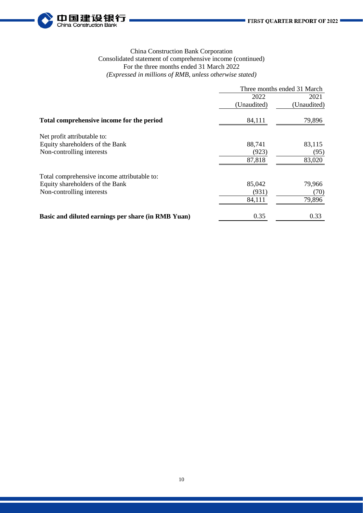

#### China Construction Bank Corporation Consolidated statement of comprehensive income (continued) For the three months ended 31 March 2022 *(Expressed in millions of RMB, unless otherwise stated)*

|                                                    | Three months ended 31 March |             |
|----------------------------------------------------|-----------------------------|-------------|
|                                                    | 2022                        | 2021        |
|                                                    | (Unaudited)                 | (Unaudited) |
| Total comprehensive income for the period          | 84,111                      | 79,896      |
| Net profit attributable to:                        |                             |             |
| Equity shareholders of the Bank                    | 88,741                      | 83,115      |
| Non-controlling interests                          | (923)                       | (95)        |
|                                                    | 87,818                      | 83,020      |
| Total comprehensive income attributable to:        |                             |             |
| Equity shareholders of the Bank                    | 85,042                      | 79,966      |
| Non-controlling interests                          | (931)                       | (70)        |
|                                                    | 84,111                      | 79,896      |
| Basic and diluted earnings per share (in RMB Yuan) | 0.35                        | 0.33        |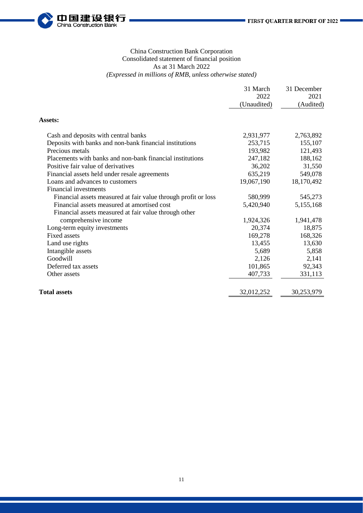

#### China Construction Bank Corporation Consolidated statement of financial position As at 31 March 2022 *(Expressed in millions of RMB, unless otherwise stated)*

|                                                                | 31 March<br>2022<br>(Unaudited) | 31 December<br>2021<br>(Audited) |
|----------------------------------------------------------------|---------------------------------|----------------------------------|
| <b>Assets:</b>                                                 |                                 |                                  |
| Cash and deposits with central banks                           | 2,931,977                       | 2,763,892                        |
| Deposits with banks and non-bank financial institutions        | 253,715                         | 155,107                          |
| Precious metals                                                | 193,982                         | 121,493                          |
| Placements with banks and non-bank financial institutions      | 247,182                         | 188,162                          |
| Positive fair value of derivatives                             | 36,202                          | 31,550                           |
| Financial assets held under resale agreements                  | 635,219                         | 549,078                          |
| Loans and advances to customers                                | 19,067,190                      | 18,170,492                       |
| Financial investments                                          |                                 |                                  |
| Financial assets measured at fair value through profit or loss | 580,999                         | 545,273                          |
| Financial assets measured at amortised cost                    | 5,420,940                       | 5,155,168                        |
| Financial assets measured at fair value through other          |                                 |                                  |
| comprehensive income                                           | 1,924,326                       | 1,941,478                        |
| Long-term equity investments                                   | 20,374                          | 18,875                           |
| <b>Fixed assets</b>                                            | 169,278                         | 168,326                          |
| Land use rights                                                | 13,455                          | 13,630                           |
| Intangible assets                                              | 5,689                           | 5,858                            |
| Goodwill                                                       | 2,126                           | 2,141                            |
| Deferred tax assets                                            | 101,865                         | 92,343                           |
| Other assets                                                   | 407,733                         | 331,113                          |
| <b>Total assets</b>                                            | 32,012,252                      | 30,253,979                       |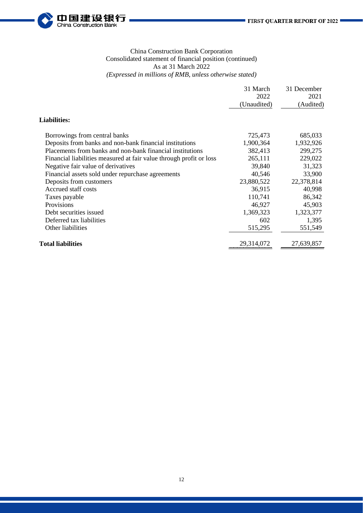

#### China Construction Bank Corporation Consolidated statement of financial position (continued) As at 31 March 2022 *(Expressed in millions of RMB, unless otherwise stated)*

|                                                                     | 31 March<br>2022<br>(Unaudited) | 31 December<br>2021<br>(Audited) |
|---------------------------------------------------------------------|---------------------------------|----------------------------------|
| <b>Liabilities:</b>                                                 |                                 |                                  |
| Borrowings from central banks                                       | 725,473                         | 685,033                          |
| Deposits from banks and non-bank financial institutions             | 1,900,364                       | 1,932,926                        |
| Placements from banks and non-bank financial institutions           | 382,413                         | 299,275                          |
| Financial liabilities measured at fair value through profit or loss | 265,111                         | 229,022                          |
| Negative fair value of derivatives                                  | 39,840                          | 31,323                           |
| Financial assets sold under repurchase agreements                   | 40,546                          | 33,900                           |
| Deposits from customers                                             | 23,880,522                      | 22,378,814                       |
| Accrued staff costs                                                 | 36,915                          | 40,998                           |
| Taxes payable                                                       | 110,741                         | 86,342                           |
| Provisions                                                          | 46,927                          | 45,903                           |
| Debt securities issued                                              | 1,369,323                       | 1,323,377                        |
| Deferred tax liabilities                                            | 602                             | 1,395                            |
| Other liabilities                                                   | 515,295                         | 551,549                          |
| <b>Total liabilities</b>                                            | 29,314,072                      | 27,639,857                       |
|                                                                     |                                 |                                  |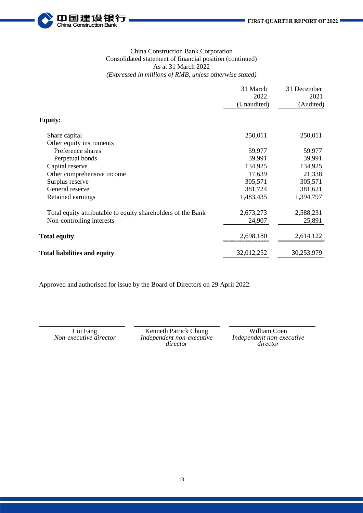

#### China Construction Bank Corporation Consolidated statement of financial position (continued) As at 31 March 2022 *(Expressed in millions of RMB, unless otherwise stated)*

| 31 March<br>2022 | 31 December<br>2021 |
|------------------|---------------------|
|                  | (Audited)           |
|                  |                     |
| 250,011          | 250,011             |
|                  |                     |
| 59,977           | 59,977              |
| 39,991           | 39,991              |
| 134,925          | 134,925             |
| 17,639           | 21,338              |
| 305,571          | 305,571             |
| 381,724          | 381,621             |
| 1,483,435        | 1,394,797           |
| 2,673,273        | 2,588,231           |
| 24,907           | 25,891              |
| 2,698,180        | 2,614,122           |
| 32,012,252       | 30,253,979          |
|                  | (Unaudited)         |

Approved and authorised for issue by the Board of Directors on 29 April 2022.

Liu Fang Kenneth Patrick Chung William Coen<br>Non-executive director Independent non-executive Independent non-exe *Non-executive director Independent non-executive director*

*Independent non-executive director*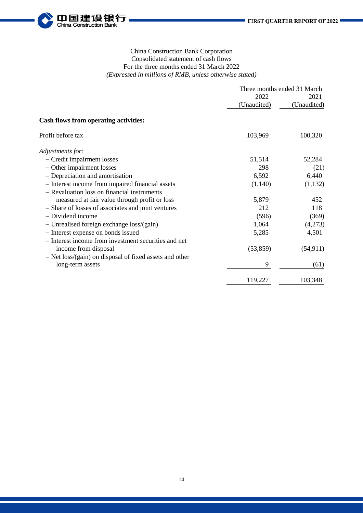

#### China Construction Bank Corporation Consolidated statement of cash flows For the three months ended 31 March 2022 *(Expressed in millions of RMB, unless otherwise stated)*

|                                                           | Three months ended 31 March |             |
|-----------------------------------------------------------|-----------------------------|-------------|
|                                                           | 2022                        | 2021        |
|                                                           | (Unaudited)                 | (Unaudited) |
| <b>Cash flows from operating activities:</b>              |                             |             |
| Profit before tax                                         | 103,969                     | 100,320     |
| Adjustments for:                                          |                             |             |
| - Credit impairment losses                                | 51,514                      | 52,284      |
| - Other impairment losses                                 | 298                         | (21)        |
| - Depreciation and amortisation                           | 6,592                       | 6,440       |
| - Interest income from impaired financial assets          | (1,140)                     | (1,132)     |
| - Revaluation loss on financial instruments               |                             |             |
| measured at fair value through profit or loss             | 5,879                       | 452         |
| - Share of losses of associates and joint ventures        | 212                         | 118         |
| - Dividend income                                         | (596)                       | (369)       |
| - Unrealised foreign exchange loss/(gain)                 | 1,064                       | (4,273)     |
| - Interest expense on bonds issued                        | 5,285                       | 4,501       |
| - Interest income from investment securities and net      |                             |             |
| income from disposal                                      | (53, 859)                   | (54, 911)   |
| $-$ Net loss/(gain) on disposal of fixed assets and other |                             |             |
| long-term assets                                          | 9                           | (61)        |
|                                                           | 119,227                     | 103,348     |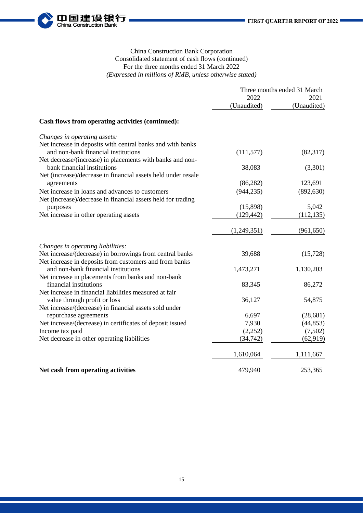

#### China Construction Bank Corporation Consolidated statement of cash flows (continued) For the three months ended 31 March 2022 *(Expressed in millions of RMB, unless otherwise stated)*

|                                                               | Three months ended 31 March |             |
|---------------------------------------------------------------|-----------------------------|-------------|
|                                                               | 2022                        | 2021        |
|                                                               | (Unaudited)                 | (Unaudited) |
| Cash flows from operating activities (continued):             |                             |             |
| Changes in operating assets:                                  |                             |             |
| Net increase in deposits with central banks and with banks    |                             |             |
| and non-bank financial institutions                           | (111, 577)                  | (82, 317)   |
| Net decrease/(increase) in placements with banks and non-     |                             |             |
| bank financial institutions                                   | 38,083                      | (3,301)     |
| Net (increase)/decrease in financial assets held under resale |                             |             |
| agreements                                                    | (86, 282)                   | 123,691     |
| Net increase in loans and advances to customers               | (944, 235)                  | (892, 630)  |
| Net (increase)/decrease in financial assets held for trading  |                             |             |
| purposes                                                      | (15,898)                    | 5,042       |
| Net increase in other operating assets                        | (129, 442)                  | (112, 135)  |
|                                                               | (1,249,351)                 | (961, 650)  |
| Changes in operating liabilities:                             |                             |             |
| Net increase/(decrease) in borrowings from central banks      | 39,688                      | (15,728)    |
| Net increase in deposits from customers and from banks        |                             |             |
| and non-bank financial institutions                           | 1,473,271                   | 1,130,203   |
| Net increase in placements from banks and non-bank            |                             |             |
| financial institutions                                        | 83,345                      | 86,272      |
| Net increase in financial liabilities measured at fair        |                             |             |
| value through profit or loss                                  | 36,127                      | 54,875      |
| Net increase/(decrease) in financial assets sold under        |                             |             |
| repurchase agreements                                         | 6,697                       | (28, 681)   |
| Net increase/(decrease) in certificates of deposit issued     | 7,930                       | (44, 853)   |
| Income tax paid                                               | (2,252)                     | (7,502)     |
| Net decrease in other operating liabilities                   | (34, 742)                   | (62, 919)   |
|                                                               | 1,610,064                   | 1,111,667   |
| Net cash from operating activities                            | 479,940                     | 253,365     |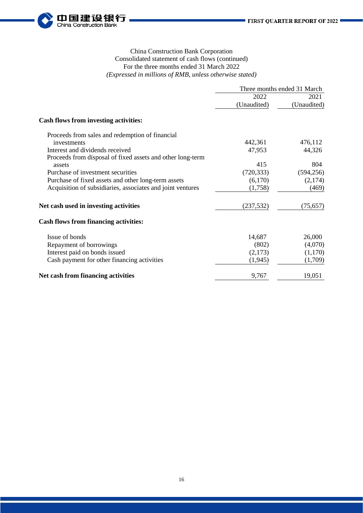

#### China Construction Bank Corporation Consolidated statement of cash flows (continued) For the three months ended 31 March 2022 *(Expressed in millions of RMB, unless otherwise stated)*

|                                                            | Three months ended 31 March |             |
|------------------------------------------------------------|-----------------------------|-------------|
|                                                            | 2022                        | 2021        |
|                                                            | (Unaudited)                 | (Unaudited) |
| <b>Cash flows from investing activities:</b>               |                             |             |
| Proceeds from sales and redemption of financial            |                             |             |
| investments                                                | 442,361                     | 476,112     |
| Interest and dividends received                            | 47,953                      | 44,326      |
| Proceeds from disposal of fixed assets and other long-term |                             |             |
| assets                                                     | 415                         | 804         |
| Purchase of investment securities                          | (720, 333)                  | (594, 256)  |
| Purchase of fixed assets and other long-term assets        | (6,170)                     | (2,174)     |
| Acquisition of subsidiaries, associates and joint ventures | (1,758)                     | (469)       |
| Net cash used in investing activities                      | (237, 532)                  | (75, 657)   |
| <b>Cash flows from financing activities:</b>               |                             |             |
| Issue of bonds                                             | 14,687                      | 26,000      |
| Repayment of borrowings                                    | (802)                       | (4,070)     |
| Interest paid on bonds issued                              | (2,173)                     | (1,170)     |
| Cash payment for other financing activities                | (1, 945)                    | (1,709)     |
| Net cash from financing activities                         | 9,767                       | 19,051      |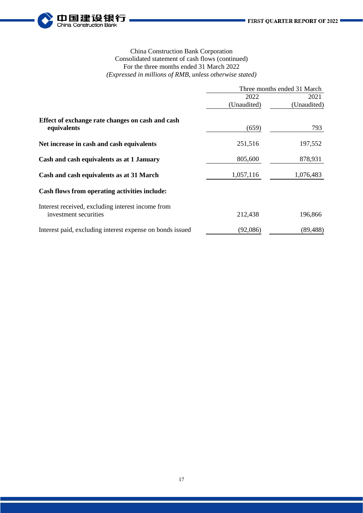

#### China Construction Bank Corporation Consolidated statement of cash flows (continued) For the three months ended 31 March 2022 *(Expressed in millions of RMB, unless otherwise stated)*

|                                                                            | Three months ended 31 March |             |  |
|----------------------------------------------------------------------------|-----------------------------|-------------|--|
|                                                                            | 2022                        | 2021        |  |
|                                                                            | (Unaudited)                 | (Unaudited) |  |
| Effect of exchange rate changes on cash and cash<br>equivalents            | (659)                       | 793         |  |
| Net increase in cash and cash equivalents                                  | 251,516                     | 197,552     |  |
| Cash and cash equivalents as at 1 January                                  | 805,600                     | 878,931     |  |
| Cash and cash equivalents as at 31 March                                   | 1,057,116                   | 1,076,483   |  |
| Cash flows from operating activities include:                              |                             |             |  |
| Interest received, excluding interest income from<br>investment securities | 212,438                     | 196,866     |  |
| Interest paid, excluding interest expense on bonds issued                  | (92,086)                    | (89, 488)   |  |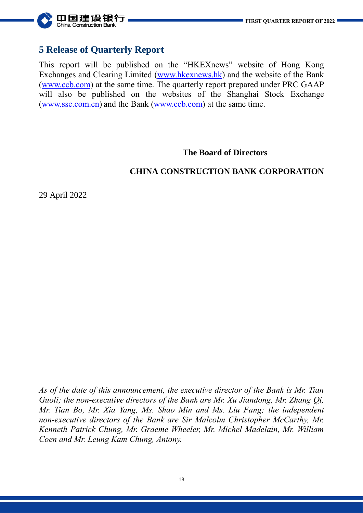

# **5 Release of Quarterly Report**

This report will be published on the "HKEXnews" website of Hong Kong Exchanges and Clearing Limited [\(www.hkexnews.hk\)](http://www.hkexnews.hk/) and the website of the Bank [\(www.ccb.com\)](http://www.ccb.com/) at the same time. The quarterly report prepared under PRC GAAP will also be published on the websites of the Shanghai Stock Exchange [\(www.sse.com.cn\)](http://www.sse.com.cn/) and the Bank [\(www.ccb.com\)](http://www.ccb.com/) at the same time.

### **The Board of Directors**

## **CHINA CONSTRUCTION BANK CORPORATION**

29 April 2022

*As of the date of this announcement, the executive director of the Bank is Mr. Tian Guoli; the non-executive directors of the Bank are Mr. Xu Jiandong, Mr. Zhang Qi, Mr. Tian Bo, Mr. Xia Yang, Ms. Shao Min and Ms. Liu Fang; the independent non-executive directors of the Bank are Sir Malcolm Christopher McCarthy, Mr. Kenneth Patrick Chung, Mr. Graeme Wheeler, Mr. Michel Madelain, Mr. William Coen and Mr. Leung Kam Chung, Antony.*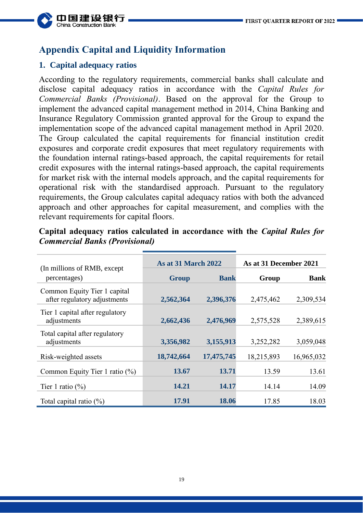

# **Appendix Capital and Liquidity Information**

## **1. Capital adequacy ratios**

According to the regulatory requirements, commercial banks shall calculate and disclose capital adequacy ratios in accordance with the *Capital Rules for Commercial Banks (Provisional)*. Based on the approval for the Group to implement the advanced capital management method in 2014, China Banking and Insurance Regulatory Commission granted approval for the Group to expand the implementation scope of the advanced capital management method in April 2020. The Group calculated the capital requirements for financial institution credit exposures and corporate credit exposures that meet regulatory requirements with the foundation internal ratings-based approach, the capital requirements for retail credit exposures with the internal ratings-based approach, the capital requirements for market risk with the internal models approach, and the capital requirements for operational risk with the standardised approach. Pursuant to the regulatory requirements, the Group calculates capital adequacy ratios with both the advanced approach and other approaches for capital measurement, and complies with the relevant requirements for capital floors.

| (In millions of RMB, except)                                 | <b>As at 31 March 2022</b> |             | As at 31 December 2021 |             |
|--------------------------------------------------------------|----------------------------|-------------|------------------------|-------------|
| percentages)                                                 | <b>Group</b>               | <b>Bank</b> | Group                  | <b>Bank</b> |
| Common Equity Tier 1 capital<br>after regulatory adjustments | 2,562,364                  | 2,396,376   | 2,475,462              | 2,309,534   |
| Tier 1 capital after regulatory<br>adjustments               | 2,662,436                  | 2,476,969   | 2,575,528              | 2,389,615   |
| Total capital after regulatory<br>adjustments                | 3,356,982                  | 3,155,913   | 3,252,282              | 3,059,048   |
| Risk-weighted assets                                         | 18,742,664                 | 17,475,745  | 18,215,893             | 16,965,032  |
| Common Equity Tier 1 ratio (%)                               | 13.67                      | 13.71       | 13.59                  | 13.61       |
| Tier 1 ratio $(\%)$                                          | 14.21                      | 14.17       | 14.14                  | 14.09       |
| Total capital ratio $(\%)$                                   | 17.91                      | 18.06       | 17.85                  | 18.03       |

**Capital adequacy ratios calculated in accordance with the** *Capital Rules for Commercial Banks (Provisional)*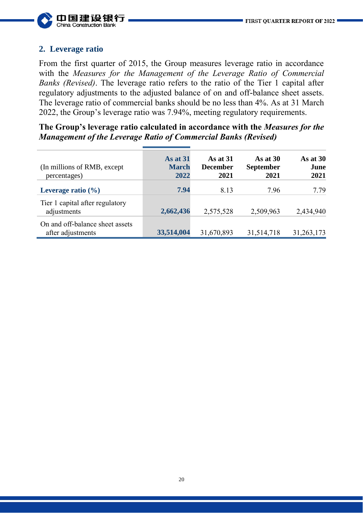

## **2. Leverage ratio**

From the first quarter of 2015, the Group measures leverage ratio in accordance with the *Measures for the Management of the Leverage Ratio of Commercial Banks (Revised)*. The leverage ratio refers to the ratio of the Tier 1 capital after regulatory adjustments to the adjusted balance of on and off-balance sheet assets. The leverage ratio of commercial banks should be no less than 4%. As at 31 March 2022, the Group's leverage ratio was 7.94%, meeting regulatory requirements.

**The Group's leverage ratio calculated in accordance with the** *Measures for the Management of the Leverage Ratio of Commercial Banks (Revised)*

| (In millions of RMB, except)<br>percentages)         | As at 31<br><b>March</b><br>2022 | As at $31$<br><b>December</b><br>2021 | As at $30$<br><b>September</b><br>2021 | As at $30$<br>June<br>2021 |
|------------------------------------------------------|----------------------------------|---------------------------------------|----------------------------------------|----------------------------|
| Leverage ratio $(\% )$                               | 7.94                             | 8.13                                  | 7.96                                   | 7.79                       |
| Tier 1 capital after regulatory<br>adjustments       | 2,662,436                        | 2,575,528                             | 2,509,963                              | 2,434,940                  |
| On and off-balance sheet assets<br>after adjustments | 33,514,004                       | 31,670,893                            | 31,514,718                             | 31,263,173                 |